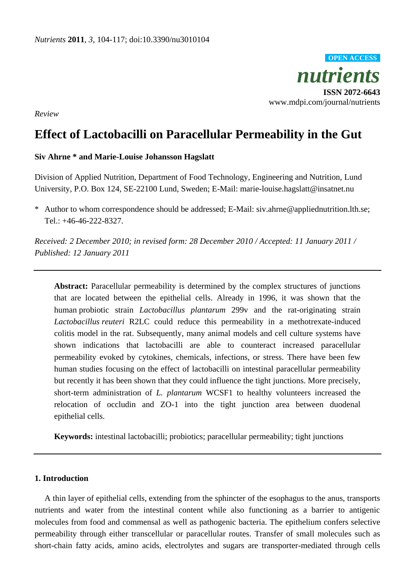

*Review*

# **Effect of Lactobacilli on Paracellular Permeability in the Gut**

# **Siv Ahrne \* and Marie-Louise Johansson Hagslatt**

Division of Applied Nutrition, Department of Food Technology, Engineering and Nutrition, Lund University, P.O. Box 124, SE-22100 Lund, Sweden; E-Mail: marie-louise.hagslatt@insatnet.nu

\* Author to whom correspondence should be addressed; E-Mail: siv.ahrne@appliednutrition.lth.se; Tel.: +46-46-222-8327.

*Received: 2 December 2010; in revised form: 28 December 2010 / Accepted: 11 January 2011 / Published: 12 January 2011* 

**Abstract:** Paracellular permeability is determined by the complex structures of junctions that are located between the epithelial cells. Already in 1996, it was shown that the human probiotic strain *Lactobacillus plantarum* 299v and the rat-originating strain *Lactobacillus reuteri* R2LC could reduce this permeability in a methotrexate-induced colitis model in the rat. Subsequently, many animal models and cell culture systems have shown indications that lactobacilli are able to counteract increased paracellular permeability evoked by cytokines, chemicals, infections, or stress. There have been few human studies focusing on the effect of lactobacilli on intestinal paracellular permeability but recently it has been shown that they could influence the tight junctions. More precisely, short-term administration of *L. plantarum* WCSF1 to healthy volunteers increased the relocation of occludin and ZO-1 into the tight junction area between duodenal epithelial cells.

**Keywords:** intestinal lactobacilli; probiotics; paracellular permeability; tight junctions

# **1. Introduction**

A thin layer of epithelial cells, extending from the sphincter of the esophagus to the anus, transports nutrients and water from the intestinal content while also functioning as a barrier to antigenic molecules from food and commensal as well as pathogenic bacteria. The epithelium confers selective permeability through either transcellular or paracellular routes. Transfer of small molecules such as short-chain fatty acids, amino acids, electrolytes and sugars are transporter-mediated through cells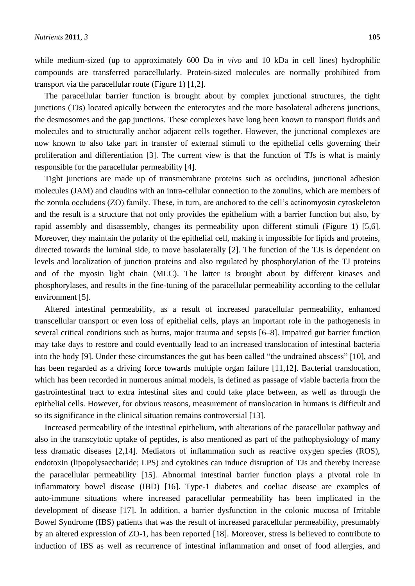while medium-sized (up to approximately 600 Da *in vivo* and 10 kDa in cell lines) hydrophilic compounds are transferred paracellularly. Protein-sized molecules are normally prohibited from transport via the paracellular route (Figure 1) [1,2].

The paracellular barrier function is brought about by complex junctional structures, the tight junctions (TJs) located apically between the enterocytes and the more basolateral adherens junctions, the desmosomes and the gap junctions. These complexes have long been known to transport fluids and molecules and to structurally anchor adjacent cells together. However, the junctional complexes are now known to also take part in transfer of external stimuli to the epithelial cells governing their proliferation and differentiation [3]. The current view is that the function of TJs is what is mainly responsible for the paracellular permeability [4].

Tight junctions are made up of transmembrane proteins such as occludins, junctional adhesion molecules (JAM) and claudins with an intra-cellular connection to the zonulins, which are members of the zonula occludens (ZO) family. These, in turn, are anchored to the cell's actinomyosin cytoskeleton and the result is a structure that not only provides the epithelium with a barrier function but also, by rapid assembly and disassembly, changes its permeability upon different stimuli (Figure 1) [5,6]. Moreover, they maintain the polarity of the epithelial cell, making it impossible for lipids and proteins, directed towards the luminal side, to move basolaterally [2]. The function of the TJs is dependent on levels and localization of junction proteins and also regulated by phosphorylation of the TJ proteins and of the myosin light chain (MLC). The latter is brought about by different kinases and phosphorylases, and results in the fine-tuning of the paracellular permeability according to the cellular environment [5].

Altered intestinal permeability, as a result of increased paracellular permeability, enhanced transcellular transport or even loss of epithelial cells, plays an important role in the pathogenesis in several critical conditions such as burns, major trauma and sepsis [6–8]. Impaired gut barrier function may take days to restore and could eventually lead to an increased translocation of intestinal bacteria into the body [9]. Under these circumstances the gut has been called "the undrained abscess" [10], and has been regarded as a driving force towards multiple organ failure [11,12]. Bacterial translocation, which has been recorded in numerous animal models, is defined as passage of viable bacteria from the gastrointestinal tract to extra intestinal sites and could take place between, as well as through the epithelial cells. However, for obvious reasons, measurement of translocation in humans is difficult and so its significance in the clinical situation remains controversial [13].

Increased permeability of the intestinal epithelium, with alterations of the paracellular pathway and also in the transcytotic uptake of peptides, is also mentioned as part of the pathophysiology of many less dramatic diseases [2,14]. Mediators of inflammation such as reactive oxygen species (ROS), endotoxin (lipopolysaccharide; LPS) and cytokines can induce disruption of TJs and thereby increase the paracellular permeability [15]. Abnormal intestinal barrier function plays a pivotal role in inflammatory bowel disease (IBD) [16]. Type-1 diabetes and coeliac disease are examples of auto-immune situations where increased paracellular permeability has been implicated in the development of disease [17]. In addition, a barrier dysfunction in the colonic mucosa of Irritable Bowel Syndrome (IBS) patients that was the result of increased paracellular permeability, presumably by an altered expression of ZO-1, has been reported [18]. Moreover, stress is believed to contribute to induction of IBS as well as recurrence of intestinal inflammation and onset of food allergies, and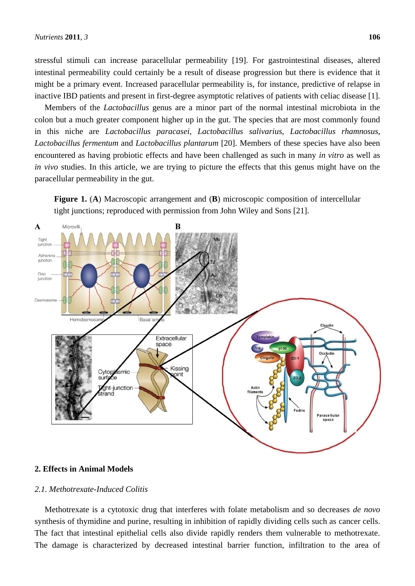stressful stimuli can increase paracellular permeability [19]. For gastrointestinal diseases, altered intestinal permeability could certainly be a result of disease progression but there is evidence that it might be a primary event. Increased paracellular permeability is, for instance, predictive of relapse in inactive IBD patients and present in first-degree asymptotic relatives of patients with celiac disease [1].

Members of the *Lactobacillus* genus are a minor part of the normal intestinal microbiota in the colon but a much greater component higher up in the gut. The species that are most commonly found in this niche are *Lactobacillus paracasei*, *Lactobacillus salivarius*, *Lactobacillus rhamnosus*, *Lactobacillus fermentum* and *Lactobacillus plantarum* [20]. Members of these species have also been encountered as having probiotic effects and have been challenged as such in many *in vitro* as well as *in vivo* studies. In this article, we are trying to picture the effects that this genus might have on the paracellular permeability in the gut.

**Figure 1.** (**A**) Macroscopic arrangement and (**B**) microscopic composition of intercellular tight junctions; reproduced with permission from John Wiley and Sons [21].



## **2. Effects in Animal Models**

# *2.1. Methotrexate-Induced Colitis*

Methotrexate is a cytotoxic drug that interferes with folate metabolism and so decreases *de novo* synthesis of thymidine and purine, resulting in inhibition of rapidly dividing cells such as cancer cells. The fact that intestinal epithelial cells also divide rapidly renders them vulnerable to methotrexate. The damage is characterized by decreased intestinal barrier function, infiltration to the area of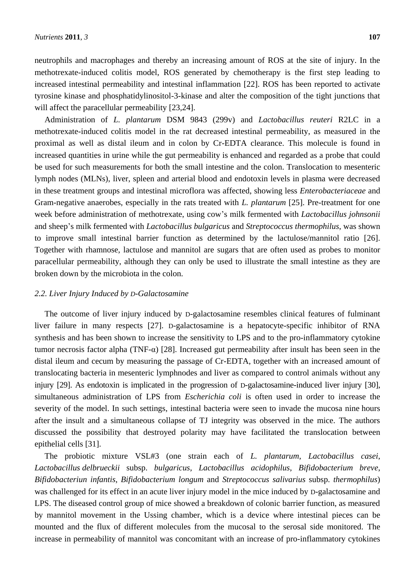neutrophils and macrophages and thereby an increasing amount of ROS at the site of injury. In the methotrexate-induced colitis model, ROS generated by chemotherapy is the first step leading to increased intestinal permeability and intestinal inflammation [22]. ROS has been reported to activate tyrosine kinase and phosphatidylinositol-3-kinase and alter the composition of the tight junctions that will affect the paracellular permeability [23,24].

Administration of *L. plantarum* DSM 9843 (299v) and *Lactobacillus reuteri* R2LC in a methotrexate-induced colitis model in the rat decreased intestinal permeability, as measured in the proximal as well as distal ileum and in colon by Cr-EDTA clearance. This molecule is found in increased quantities in urine while the gut permeability is enhanced and regarded as a probe that could be used for such measurements for both the small intestine and the colon. Translocation to mesenteric lymph nodes (MLNs), liver, spleen and arterial blood and endotoxin levels in plasma were decreased in these treatment groups and intestinal microflora was affected, showing less *Enterobacteriaceae* and Gram-negative anaerobes, especially in the rats treated with *L. plantarum* [25]. Pre-treatment for one week before administration of methotrexate, using cow's milk fermented with *Lactobacillus johnsonii* and sheep's milk fermented with *Lactobacillus bulgaricus* and *Streptococcus thermophilus*, was shown to improve small intestinal barrier function as determined by the lactulose/mannitol ratio [26]. Together with rhamnose, lactulose and mannitol are sugars that are often used as probes to monitor paracellular permeability, although they can only be used to illustrate the small intestine as they are broken down by the microbiota in the colon.

## *2.2. Liver Injury Induced by D-Galactosamine*

The outcome of liver injury induced by D-galactosamine resembles clinical features of fulminant liver failure in many respects [27]. D-galactosamine is a hepatocyte-specific inhibitor of RNA synthesis and has been shown to increase the sensitivity to LPS and to the pro-inflammatory cytokine tumor necrosis factor alpha (TNF- $\alpha$ ) [28]. Increased gut permeability after insult has been seen in the distal ileum and cecum by measuring the passage of Cr-EDTA, together with an increased amount of translocating bacteria in mesenteric lymphnodes and liver as compared to control animals without any injury [29]. As endotoxin is implicated in the progression of D-galactosamine-induced liver injury [30], simultaneous administration of LPS from *Escherichia coli* is often used in order to increase the severity of the model. In such settings, intestinal bacteria were seen to invade the mucosa nine hours after the insult and a simultaneous collapse of TJ integrity was observed in the mice. The authors discussed the possibility that destroyed polarity may have facilitated the translocation between epithelial cells [31].

The probiotic mixture VSL#3 (one strain each of *L. plantarum*, *Lactobacillus casei*, *Lactobacillus delbrueckii* subsp. *bulgaricus*, *Lactobacillus acidophilus*, *Bifidobacterium breve*, *Bifidobacteriun infantis*, *Bifidobacterium longum* and *Streptococcus salivarius* subsp. *thermophilus*) was challenged for its effect in an acute liver injury model in the mice induced by D-galactosamine and LPS. The diseased control group of mice showed a breakdown of colonic barrier function, as measured by mannitol movement in the Ussing chamber, which is a device where intestinal pieces can be mounted and the flux of different molecules from the mucosal to the serosal side monitored. The increase in permeability of mannitol was concomitant with an increase of pro-inflammatory cytokines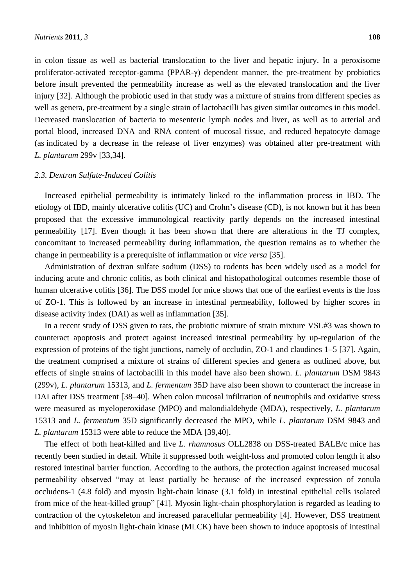in colon tissue as well as bacterial translocation to the liver and hepatic injury. In a peroxisome proliferator-activated receptor-gamma (PPAR-γ) dependent manner, the pre-treatment by probiotics before insult prevented the permeability increase as well as the elevated translocation and the liver injury [32]. Although the probiotic used in that study was a mixture of strains from different species as well as genera, pre-treatment by a single strain of lactobacilli has given similar outcomes in this model. Decreased translocation of bacteria to mesenteric lymph nodes and liver, as well as to arterial and portal blood, increased DNA and RNA content of mucosal tissue, and reduced hepatocyte damage (as indicated by a decrease in the release of liver enzymes) was obtained after pre-treatment with *L. plantarum* 299v [33,34].

#### *2.3. Dextran Sulfate-Induced Colitis*

Increased epithelial permeability is intimately linked to the inflammation process in IBD. The etiology of IBD, mainly ulcerative colitis (UC) and Crohn's disease (CD), is not known but it has been proposed that the excessive immunological reactivity partly depends on the increased intestinal permeability [17]. Even though it has been shown that there are alterations in the TJ complex, concomitant to increased permeability during inflammation, the question remains as to whether the change in permeability is a prerequisite of inflammation or *vice versa* [35].

Administration of dextran sulfate sodium (DSS) to rodents has been widely used as a model for inducing acute and chronic colitis, as both clinical and histopathological outcomes resemble those of human ulcerative colitis [36]. The DSS model for mice shows that one of the earliest events is the loss of ZO-1. This is followed by an increase in intestinal permeability, followed by higher scores in disease activity index (DAI) as well as inflammation [35].

In a recent study of DSS given to rats, the probiotic mixture of strain mixture VSL#3 was shown to counteract apoptosis and protect against increased intestinal permeability by up-regulation of the expression of proteins of the tight junctions, namely of occludin, ZO-1 and claudines 1–5 [37]. Again, the treatment comprised a mixture of strains of different species and genera as outlined above, but effects of single strains of lactobacilli in this model have also been shown. *L. plantarum* DSM 9843 (299v), *L. plantarum* 15313, and *L. fermentum* 35D have also been shown to counteract the increase in DAI after DSS treatment [38–40]. When colon mucosal infiltration of neutrophils and oxidative stress were measured as myeloperoxidase (MPO) and malondialdehyde (MDA), respectively, *L. plantarum* 15313 and *L. fermentum* 35D significantly decreased the MPO, while *L. plantarum* DSM 9843 and *L. plantarum* 15313 were able to reduce the MDA [39,40].

The effect of both heat-killed and live *L. rhamnosus* OLL2838 on DSS-treated BALB/c mice has recently been studied in detail. While it suppressed both weight-loss and promoted colon length it also restored intestinal barrier function. According to the authors, the protection against increased mucosal permeability observed "may at least partially be because of the increased expression of zonula occludens-1 (4.8 fold) and myosin light-chain kinase (3.1 fold) in intestinal epithelial cells isolated from mice of the heat-killed group" [41]. Myosin light-chain phosphorylation is regarded as leading to contraction of the cytoskeleton and increased paracellular permeability [4]. However, DSS treatment and inhibition of myosin light-chain kinase (MLCK) have been shown to induce apoptosis of intestinal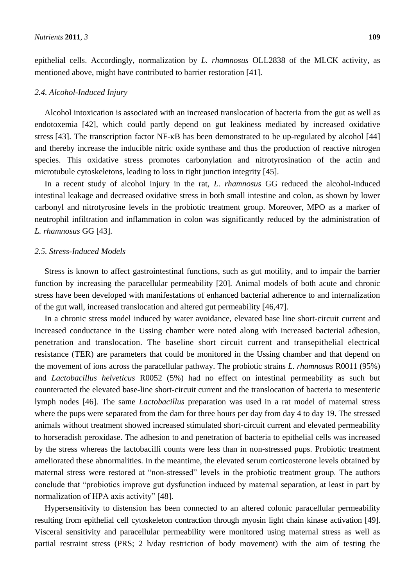epithelial cells. Accordingly, normalization by *L. rhamnosus* OLL2838 of the MLCK activity, as mentioned above, might have contributed to barrier restoration [41].

#### *2.4. Alcohol-Induced Injury*

Alcohol intoxication is associated with an increased translocation of bacteria from the gut as well as endotoxemia [42], which could partly depend on gut leakiness mediated by increased oxidative stress [43]. The transcription factor NF-κB has been demonstrated to be up-regulated by alcohol [44] and thereby increase the inducible nitric oxide synthase and thus the production of reactive nitrogen species. This oxidative stress promotes carbonylation and nitrotyrosination of the actin and microtubule cytoskeletons, leading to loss in tight junction integrity [45].

In a recent study of alcohol injury in the rat, *L. rhamnosus* GG reduced the alcohol-induced intestinal leakage and decreased oxidative stress in both small intestine and colon, as shown by lower carbonyl and nitrotyrosine levels in the probiotic treatment group. Moreover, MPO as a marker of neutrophil infiltration and inflammation in colon was significantly reduced by the administration of *L. rhamnosus* GG [43].

#### *2.5. Stress-Induced Models*

Stress is known to affect gastrointestinal functions, such as gut motility, and to impair the barrier function by increasing the paracellular permeability [20]. Animal models of both acute and chronic stress have been developed with manifestations of enhanced bacterial adherence to and internalization of the gut wall, increased translocation and altered gut permeability [46,47].

In a chronic stress model induced by water avoidance, elevated base line short-circuit current and increased conductance in the Ussing chamber were noted along with increased bacterial adhesion, penetration and translocation. The baseline short circuit current and transepithelial electrical resistance (TER) are parameters that could be monitored in the Ussing chamber and that depend on the movement of ions across the paracellular pathway. The probiotic strains *L. rhamnosus* R0011 (95%) and *Lactobacillus helveticus* R0052 (5%) had no effect on intestinal permeability as such but counteracted the elevated base-line short-circuit current and the translocation of bacteria to mesenteric lymph nodes [46]. The same *Lactobacillus* preparation was used in a rat model of maternal stress where the pups were separated from the dam for three hours per day from day 4 to day 19. The stressed animals without treatment showed increased stimulated short-circuit current and elevated permeability to horseradish peroxidase. The adhesion to and penetration of bacteria to epithelial cells was increased by the stress whereas the lactobacilli counts were less than in non-stressed pups. Probiotic treatment ameliorated these abnormalities. In the meantime, the elevated serum corticosterone levels obtained by maternal stress were restored at "non-stressed" levels in the probiotic treatment group. The authors conclude that "probiotics improve gut dysfunction induced by maternal separation, at least in part by normalization of HPA axis activity" [48].

Hypersensitivity to distension has been connected to an altered colonic paracellular permeability resulting from epithelial cell cytoskeleton contraction through myosin light chain kinase activation [49]. Visceral sensitivity and paracellular permeability were monitored using maternal stress as well as partial restraint stress (PRS; 2 h/day restriction of body movement) with the aim of testing the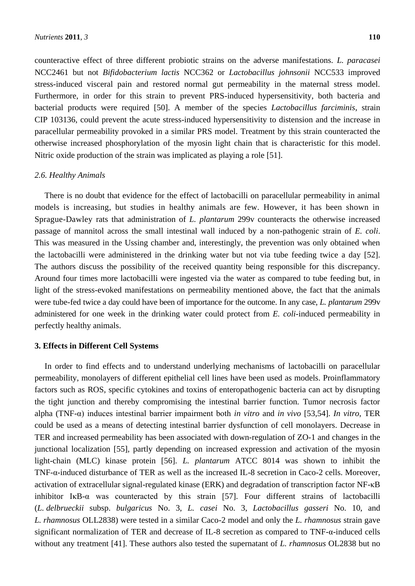counteractive effect of three different probiotic strains on the adverse manifestations. *L. paracasei* NCC2461 but not *Bifidobacterium lactis* NCC362 or *Lactobacillus johnsonii* NCC533 improved stress-induced visceral pain and restored normal gut permeability in the maternal stress model. Furthermore, in order for this strain to prevent PRS-induced hypersensitivity, both bacteria and bacterial products were required [50]. A member of the species *Lactobacillus farciminis*, strain CIP 103136, could prevent the acute stress-induced hypersensitivity to distension and the increase in paracellular permeability provoked in a similar PRS model. Treatment by this strain counteracted the otherwise increased phosphorylation of the myosin light chain that is characteristic for this model. Nitric oxide production of the strain was implicated as playing a role [51].

#### *2.6. Healthy Animals*

There is no doubt that evidence for the effect of lactobacilli on paracellular permeability in animal models is increasing, but studies in healthy animals are few. However, it has been shown in Sprague-Dawley rats that administration of *L. plantarum* 299v counteracts the otherwise increased passage of mannitol across the small intestinal wall induced by a non-pathogenic strain of *E. coli*. This was measured in the Ussing chamber and, interestingly, the prevention was only obtained when the lactobacilli were administered in the drinking water but not via tube feeding twice a day [52]. The authors discuss the possibility of the received quantity being responsible for this discrepancy. Around four times more lactobacilli were ingested via the water as compared to tube feeding but, in light of the stress-evoked manifestations on permeability mentioned above, the fact that the animals were tube-fed twice a day could have been of importance for the outcome. In any case, *L. plantarum* 299v administered for one week in the drinking water could protect from *E. coli*-induced permeability in perfectly healthy animals.

## **3. Effects in Different Cell Systems**

In order to find effects and to understand underlying mechanisms of lactobacilli on paracellular permeability, monolayers of different epithelial cell lines have been used as models. Proinflammatory factors such as ROS, specific cytokines and toxins of enteropathogenic bacteria can act by disrupting the tight junction and thereby compromising the intestinal barrier function. Tumor necrosis factor alpha (TNF-α) induces intestinal barrier impairment both *in vitro* and *in vivo* [53,54]. *In vitro*, TER could be used as a means of detecting intestinal barrier dysfunction of cell monolayers. Decrease in TER and increased permeability has been associated with down-regulation of ZO-1 and changes in the junctional localization [55], partly depending on increased expression and activation of the myosin light-chain (MLC) kinase protein [56]. *L. plantarum* ATCC 8014 was shown to inhibit the TNF-α-induced disturbance of TER as well as the increased IL-8 secretion in Caco-2 cells. Moreover, activation of extracellular signal-regulated kinase (ERK) and degradation of transcription factor NF-κB inhibitor IκB-α was counteracted by this strain [57]. Four different strains of lactobacilli (*L. delbrueckii* subsp. *bulgaricus* No. 3, *L. casei* No. 3, *Lactobacillus gasseri* No. 10, and *L. rhamnosus* OLL2838) were tested in a similar Caco-2 model and only the *L. rhamnosus* strain gave significant normalization of TER and decrease of IL-8 secretion as compared to TNF-α-induced cells without any treatment [41]. These authors also tested the supernatant of *L. rhamnosus* OL2838 but no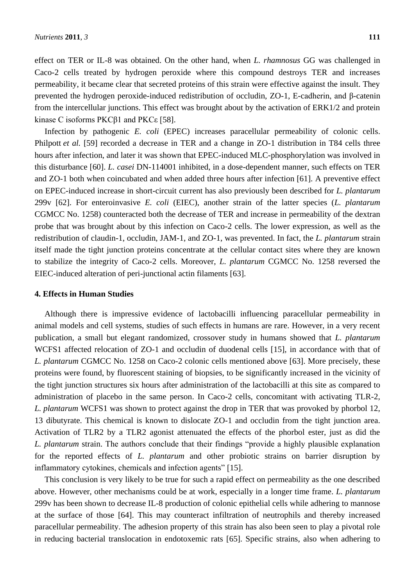effect on TER or IL-8 was obtained. On the other hand, when *L. rhamnosus* GG was challenged in Caco-2 cells treated by hydrogen peroxide where this compound destroys TER and increases permeability, it became clear that secreted proteins of this strain were effective against the insult. They prevented the hydrogen peroxide-induced redistribution of occludin, ZO-1, E-cadherin, and β-catenin from the intercellular junctions. This effect was brought about by the activation of ERK1/2 and protein kinase C isoforms PKCβ1 and PKCε [58].

Infection by pathogenic *E. coli* (EPEC) increases paracellular permeability of colonic cells. Philpott *et al.* [59] recorded a decrease in TER and a change in ZO-1 distribution in T84 cells three hours after infection, and later it was shown that EPEC-induced MLC-phosphorylation was involved in this disturbance [60]. *L. casei* DN-114001 inhibited, in a dose-dependent manner, such effects on TER and ZO-1 both when coincubated and when added three hours after infection [61]. A preventive effect on EPEC-induced increase in short-circuit current has also previously been described for *L. plantarum* 299v [62]. For enteroinvasive *E. coli* (EIEC), another strain of the latter species (*L. plantarum* CGMCC No. 1258) counteracted both the decrease of TER and increase in permeability of the dextran probe that was brought about by this infection on Caco-2 cells. The lower expression, as well as the redistribution of claudin-1, occludin, JAM-1, and ZO-1, was prevented. In fact, the *L. plantarum* strain itself made the tight junction proteins concentrate at the cellular contact sites where they are known to stabilize the integrity of Caco-2 cells. Moreover, *L. plantarum* CGMCC No. 1258 reversed the EIEC-induced alteration of peri-junctional actin filaments [63].

## **4. Effects in Human Studies**

Although there is impressive evidence of lactobacilli influencing paracellular permeability in animal models and cell systems, studies of such effects in humans are rare. However, in a very recent publication, a small but elegant randomized, crossover study in humans showed that *L. plantarum* WCFS1 affected relocation of ZO-1 and occludin of duodenal cells [15], in accordance with that of *L. plantarum* CGMCC No. 1258 on Caco-2 colonic cells mentioned above [63]. More precisely, these proteins were found, by fluorescent staining of biopsies, to be significantly increased in the vicinity of the tight junction structures six hours after administration of the lactobacilli at this site as compared to administration of placebo in the same person. In Caco-2 cells, concomitant with activating TLR-2, *L. plantarum* WCFS1 was shown to protect against the drop in TER that was provoked by phorbol 12, 13 dibutyrate. This chemical is known to dislocate ZO-1 and occludin from the tight junction area. Activation of TLR2 by a TLR2 agonist attenuated the effects of the phorbol ester, just as did the *L. plantarum* strain. The authors conclude that their findings "provide a highly plausible explanation for the reported effects of *L. plantarum* and other probiotic strains on barrier disruption by inflammatory cytokines, chemicals and infection agents" [15].

This conclusion is very likely to be true for such a rapid effect on permeability as the one described above. However, other mechanisms could be at work, especially in a longer time frame. *L. plantarum* 299v has been shown to decrease IL-8 production of colonic epithelial cells while adhering to mannose at the surface of those [64]. This may counteract infiltration of neutrophils and thereby increased paracellular permeability. The adhesion property of this strain has also been seen to play a pivotal role in reducing bacterial translocation in endotoxemic rats [65]. Specific strains, also when adhering to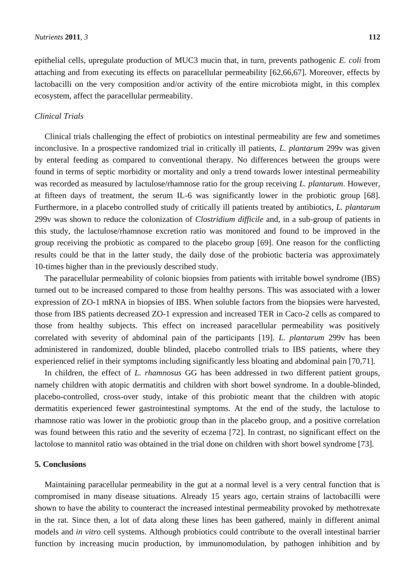epithelial cells, upregulate production of MUC3 mucin that, in turn, prevents pathogenic *E. coli* from attaching and from executing its effects on paracellular permeability [62,66,67]. Moreover, effects by lactobacilli on the very composition and/or activity of the entire microbiota might, in this complex ecosystem, affect the paracellular permeability.

#### *Clinical Trials*

Clinical trials challenging the effect of probiotics on intestinal permeability are few and sometimes inconclusive. In a prospective randomized trial in critically ill patients, *L. plantarum* 299v was given by enteral feeding as compared to conventional therapy. No differences between the groups were found in terms of septic morbidity or mortality and only a trend towards lower intestinal permeability was recorded as measured by lactulose/rhamnose ratio for the group receiving *L. plantarum*. However, at fifteen days of treatment, the serum IL-6 was significantly lower in the probiotic group [68]. Furthermore, in a placebo controlled study of critically ill patients treated by antibiotics, *L. plantarum* 299v was shown to reduce the colonization of *Clostridium difficile* and, in a sub-group of patients in this study, the lactulose/rhamnose excretion ratio was monitored and found to be improved in the group receiving the probiotic as compared to the placebo group [69]. One reason for the conflicting results could be that in the latter study, the daily dose of the probiotic bacteria was approximately 10-times higher than in the previously described study.

The paracellular permeability of colonic biopsies from patients with irritable bowel syndrome (IBS) turned out to be increased compared to those from healthy persons. This was associated with a lower expression of ZO-1 mRNA in biopsies of IBS. When soluble factors from the biopsies were harvested, those from IBS patients decreased ZO-1 expression and increased TER in Caco-2 cells as compared to those from healthy subjects. This effect on increased paracellular permeability was positively correlated with severity of abdominal pain of the participants [19]. *L. plantarum* 299v has been administered in randomized, double blinded, placebo controlled trials to IBS patients, where they experienced relief in their symptoms including significantly less bloating and abdominal pain [70,71].

In children, the effect of *L. rhamnosus* GG has been addressed in two different patient groups, namely children with atopic dermatitis and children with short bowel syndrome. In a double-blinded, placebo-controlled, cross-over study, intake of this probiotic meant that the children with atopic dermatitis experienced fewer gastrointestinal symptoms. At the end of the study, the lactulose to rhamnose ratio was lower in the probiotic group than in the placebo group, and a positive correlation was found between this ratio and the severity of eczema [72]. In contrast, no significant effect on the lactolose to mannitol ratio was obtained in the trial done on children with short bowel syndrome [73].

# **5. Conclusions**

Maintaining paracellular permeability in the gut at a normal level is a very central function that is compromised in many disease situations. Already 15 years ago, certain strains of lactobacilli were shown to have the ability to counteract the increased intestinal permeability provoked by methotrexate in the rat. Since then, a lot of data along these lines has been gathered, mainly in different animal models and *in vitro* cell systems. Although probiotics could contribute to the overall intestinal barrier function by increasing mucin production, by immunomodulation, by pathogen inhibition and by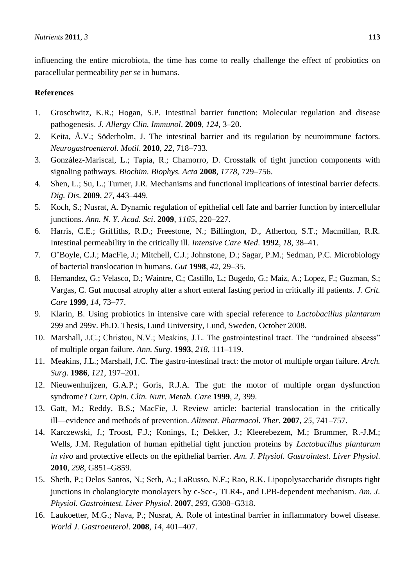influencing the entire microbiota, the time has come to really challenge the effect of probiotics on paracellular permeability *per se* in humans.

## **References**

- 1. Groschwitz, K.R.; Hogan, S.P. Intestinal barrier function: Molecular regulation and disease pathogenesis. *J. Allergy Clin. Immunol*. **2009**, *124*, 3–20.
- 2. Keita, Å.V.; Söderholm, J. The intestinal barrier and its regulation by neuroimmune factors. *Neurogastroenterol. Motil*. **2010**, *22*, 718–733.
- 3. González-Mariscal, L.; Tapia, R.; Chamorro, D. Crosstalk of tight junction components with signaling pathways. *Biochim. Biophys. Acta* **2008**, *1778*, 729–756.
- 4. Shen, L.; Su, L.; Turner, J.R. Mechanisms and functional implications of intestinal barrier defects. *Dig. Dis*. **2009**, *27*, 443–449.
- 5. Koch, S.; Nusrat, A. Dynamic regulation of epithelial cell fate and barrier function by intercellular junctions. *Ann. N. Y. Acad. Sci*. **2009**, *1165*, 220–227.
- 6. Harris, C.E.; Griffiths, R.D.; Freestone, N.; Billington, D., Atherton, S.T.; Macmillan, R.R. Intestinal permeability in the critically ill. *Intensive Care Med*. **1992**, *18*, 38–41.
- 7. O'Boyle, C.J.; MacFie, J.; Mitchell, C.J.; Johnstone, D.; Sagar, P.M.; Sedman, P.C. Microbiology of bacterial translocation in humans. *Gut* **1998**, *42*, 29–35.
- 8. Hernandez, G.; Velasco, D.; Waintre, C.; Castillo, L.; Bugedo, G.; Maiz, A.; Lopez, F.; Guzman, S.; Vargas, C. Gut mucosal atrophy after a short enteral fasting period in critically ill patients. *J. Crit. Care* **1999**, *14*, 73–77.
- 9. Klarin, B. Using probiotics in intensive care with special reference to *Lactobacillus plantarum* 299 and 299v. Ph.D. Thesis, Lund University, Lund, Sweden, October 2008.
- 10. Marshall, J.C.; Christou, N.V.; Meakins, J.L. The gastrointestinal tract. The "undrained abscess" of multiple organ failure. *Ann. Surg*. **1993**, *218*, 111–119.
- 11. Meakins, J.L.; Marshall, J.C. The gastro-intestinal tract: the motor of multiple organ failure. *Arch. Surg*. **1986**, *121*, 197–201.
- 12. Nieuwenhuijzen, G.A.P.; Goris, R.J.A. The gut: the motor of multiple organ dysfunction syndrome? *Curr. Opin. Clin. Nutr. Metab. Care* **1999**, *2*, 399.
- 13. Gatt, M.; Reddy, B.S.; MacFie, J. Review article: bacterial translocation in the critically ill—evidence and methods of prevention. *Aliment. Pharmacol. Ther*. **2007**, *25*, 741–757.
- 14. Karczewski, J.; Troost, F.J.; Konings, I.; Dekker, J.; Kleerebezem, M.; Brummer, R.-J.M.; Wells, J.M. Regulation of human epithelial tight junction proteins by *Lactobacillus plantarum in vivo* and protective effects on the epithelial barrier. *Am. J. Physiol. Gastrointest. Liver Physiol*. **2010**, *298*, G851–G859.
- 15. Sheth, P.; Delos Santos, N.; Seth, A.; LaRusso, N.F.; Rao, R.K. Lipopolysaccharide disrupts tight junctions in cholangiocyte monolayers by c-Scc-, TLR4-, and LPB-dependent mechanism. *Am. J. Physiol. Gastrointest. Liver Physiol*. **2007**, *293*, G308–G318.
- 16. Laukoetter, M.G.; Nava, P.; Nusrat, A. Role of intestinal barrier in inflammatory bowel disease. *World J. Gastroenterol*. **2008**, *14*, 401–407.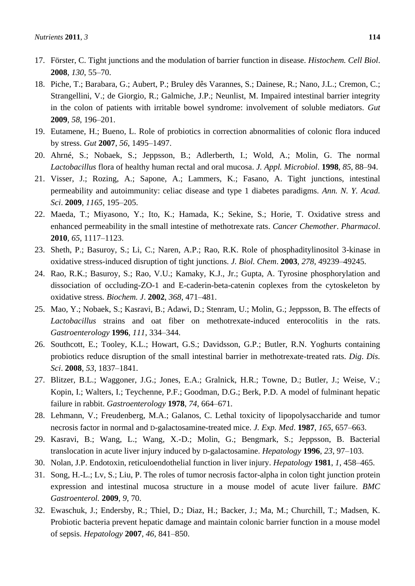- 17. Förster, C. Tight junctions and the modulation of barrier function in disease. *Histochem. Cell Biol*. **2008**, *130*, 55–70.
- 18. Piche, T.; Barabara, G.; Aubert, P.; Bruley dês Varannes, S.; Dainese, R.; Nano, J.L.; Cremon, C.; Strangellini, V.; de Giorgio, R.; Galmiche, J.P.; Neunlist, M. Impaired intestinal barrier integrity in the colon of patients with irritable bowel syndrome: involvement of soluble mediators. *Gut* **2009**, *58*, 196–201.
- 19. Eutamene, H.; Bueno, L. Role of probiotics in correction abnormalities of colonic flora induced by stress. *Gut* **2007**, *56*, 1495–1497.
- 20. Ahrné, S.; Nobaek, S.; Jeppsson, B.; Adlerberth, I.; Wold, A.; Molin, G. The normal *Lactobacillus* flora of healthy human rectal and oral mucosa. *J. Appl. Microbiol*. **1998**, *85*, 88–94.
- 21. Visser, J.; Rozing, A.; Sapone, A.; Lammers, K.; Fasano, A. Tight junctions, intestinal permeability and autoimmunity: celiac disease and type 1 diabetes paradigms. *Ann. N. Y. Acad. Sci*. **2009**, *1165*, 195–205.
- 22. Maeda, T.; Miyasono, Y.; Ito, K.; Hamada, K.; Sekine, S.; Horie, T. Oxidative stress and enhanced permeability in the small intestine of methotrexate rats. *Cancer Chemother*. *Pharmacol*. **2010**, *65*, 1117–1123.
- 23. Sheth, P.; Basuroy, S.; Li, C.; Naren, A.P.; Rao, R.K. Role of phosphaditylinositol 3-kinase in oxidative stress-induced disruption of tight junctions. *J. Biol. Chem*. **2003**, *278*, 49239–49245.
- 24. Rao, R.K.; Basuroy, S.; Rao, V.U.; Kamaky, K.J., Jr.; Gupta, A. Tyrosine phosphorylation and dissociation of occluding-ZO-1 and E-caderin-beta-catenin coplexes from the cytoskeleton by oxidative stress*. Biochem. J*. **2002**, *368*, 471–481.
- 25. Mao, Y.; Nobaek, S.; Kasravi, B.; Adawi, D.; Stenram, U.; Molin, G.; Jeppsson, B. The effects of *Lactobacillus* strains and oat fiber on methotrexate-induced enterocolitis in the rats. *Gastroenterology* **1996**, *111*, 334–344.
- 26. Southcott, E.; Tooley, K.L.; Howart, G.S.; Davidsson, G.P.; Butler, R.N. Yoghurts containing probiotics reduce disruption of the small intestinal barrier in methotrexate-treated rats. *Dig*. *Dis. Sci*. **2008**, *53*, 1837–1841.
- 27. Blitzer, B.L.; Waggoner, J.G.; Jones, E.A.; Gralnick, H.R.; Towne, D.; Butler, J.; Weise, V.; Kopin, I.; Walters, I.; Teychenne, P.F.; Goodman, D.G.; Berk, P.D. A model of fulminant hepatic failure in rabbit. *Gastroenterology* **1978**, *74*, 664–671.
- 28. Lehmann, V.; Freudenberg, M.A.; Galanos, C. Lethal toxicity of lipopolysaccharide and tumor necrosis factor in normal and D-galactosamine-treated mice. *J. Exp. Med*. **1987**, *165*, 657–663.
- 29. Kasravi, B.; Wang, L.; Wang, X.-D.; Molin, G.; Bengmark, S.; Jeppsson, B. Bacterial translocation in acute liver injury induced by D-galactosamine. *Hepatology* **1996**, *23*, 97–103.
- 30. Nolan, J.P. Endotoxin, reticuloendothelial function in liver injury. *Hepatology* **1981**, *1*, 458–465.
- 31. Song, H.-L.; Lv, S.; Liu, P. The roles of tumor necrosis factor-alpha in colon tight junction protein expression and intestinal mucosa structure in a mouse model of acute liver failure. *BMC Gastroenterol.* **2009**, *9*, 70.
- 32. Ewaschuk, J.; Endersby, R.; Thiel, D.; Diaz, H.; Backer, J.; Ma, M.; Churchill, T.; Madsen, K. Probiotic bacteria prevent hepatic damage and maintain colonic barrier function in a mouse model of sepsis. *Hepatology* **2007**, *46*, 841–850.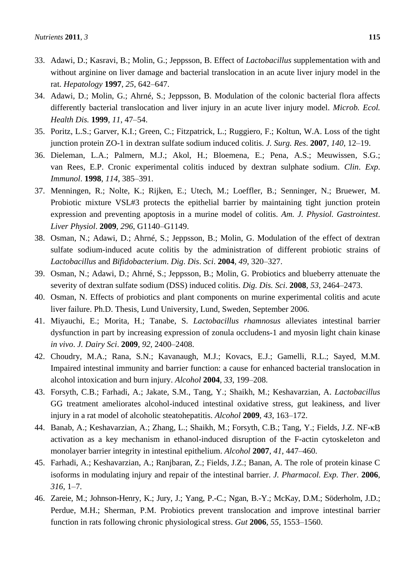- 33. Adawi, D.; Kasravi, B.; Molin, G.; Jeppsson, B. Effect of *Lactobacillus* supplementation with and without arginine on liver damage and bacterial translocation in an acute liver injury model in the rat. *Hepatology* **1997**, *25*, 642–647.
- 34. Adawi, D.; Molin, G.; Ahrné, S.; Jeppsson, B. Modulation of the colonic bacterial flora affects differently bacterial translocation and liver injury in an acute liver injury model. *Microb. Ecol. Health Dis.* **1999**, *11*, 47–54.
- 35. Poritz, L.S.; Garver, K.I.; Green, C.; Fitzpatrick, L.; Ruggiero, F.; Koltun, W.A. Loss of the tight junction protein ZO-1 in dextran sulfate sodium induced colitis. *J. Surg. Res*. **2007**, *140*, 12–19.
- 36. Dieleman, L.A.; Palmern, M.J.; Akol, H.; Bloemena, E.; Pena, A.S.; Meuwissen, S.G.; van Rees, E.P. Cronic experimental colitis induced by dextran sulphate sodium. *Clin*. *Exp*. *Immunol*. **1998**, *114*, 385–391.
- 37. Menningen, R.; Nolte, K.; Rijken, E.; Utech, M.; Loeffler, B.; Senninger, N.; Bruewer, M. Probiotic mixture VSL#3 protects the epithelial barrier by maintaining tight junction protein expression and preventing apoptosis in a murine model of colitis. *Am. J. Physiol. Gastrointest*. *Liver Physiol*. **2009**, *296*, G1140–G1149.
- 38. Osman, N.; Adawi, D.; Ahrné, S.; Jeppsson, B.; Molin, G. Modulation of the effect of dextran sulfate sodium-induced acute colitis by the administration of different probiotic strains of *Lactobacillus* and *Bifidobacterium*. *Dig*. *Dis*. *Sci*. **2004**, *49*, 320–327.
- 39. Osman, N.; Adawi, D.; Ahrné, S.; Jeppsson, B.; Molin, G. Probiotics and blueberry attenuate the severity of dextran sulfate sodium (DSS) induced colitis. *Dig. Dis. Sci*. **2008**, *53*, 2464–2473.
- 40. Osman, N. Effects of probiotics and plant components on murine experimental colitis and acute liver failure. Ph.D. Thesis, Lund University, Lund, Sweden, September 2006.
- 41. Miyauchi, E.; Morita, H.; Tanabe, S. *Lactobacillus rhamnosus* alleviates intestinal barrier dysfunction in part by increasing expression of zonula occludens-1 and myosin light chain kinase *in vivo*. *J. Dairy Sci*. **2009**, *92*, 2400–2408.
- 42. Choudry, M.A.; Rana, S.N.; Kavanaugh, M.J.; Kovacs, E.J.; Gamelli, R.L.; Sayed, M.M. Impaired intestinal immunity and barrier function: a cause for enhanced bacterial translocation in alcohol intoxication and burn injury. *Alcohol* **2004**, *33*, 199–208.
- 43. Forsyth, C.B.; Farhadi, A.; Jakate, S.M., Tang, Y.; Shaikh, M.; Keshavarzian, A. *Lactobacillus* GG treatment ameliorates alcohol-induced intestinal oxidative stress, gut leakiness, and liver injury in a rat model of alcoholic steatohepatitis. *Alcohol* **2009**, *43*, 163–172.
- 44. Banab, A.; Keshavarzian, A.; Zhang, L.; Shaikh, M.; Forsyth, C.B.; Tang, Y.; Fields, J.Z. NF-κB activation as a key mechanism in ethanol-induced disruption of the F-actin cytoskeleton and monolayer barrier integrity in intestinal epithelium. *Alcohol* **2007**, *41*, 447–460.
- 45. Farhadi, A.; Keshavarzian, A.; Ranjbaran, Z.; Fields, J.Z.; Banan, A. The role of protein kinase C isoforms in modulating injury and repair of the intestinal barrier. *J. Pharmacol. Exp. Ther.* **2006**, *316*, 1–7.
- 46. Zareie, M.; Johnson-Henry, K.; Jury, J.; Yang, P.-C.; Ngan, B.-Y.; McKay, D.M.; Söderholm, J.D.; Perdue, M.H.; Sherman, P.M. Probiotics prevent translocation and improve intestinal barrier function in rats following chronic physiological stress. *Gut* **2006**, *55*, 1553–1560.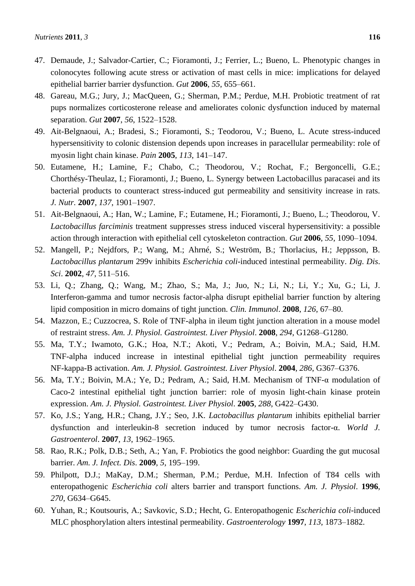- 47. Demaude, J.; Salvador-Cartier, C.; Fioramonti, J.; Ferrier, L.; Bueno, L. Phenotypic changes in colonocytes following acute stress or activation of mast cells in mice: implications for delayed epithelial barrier barrier dysfunction. *Gut* **2006**, *55*, 655–661.
- 48. Gareau, M.G.; Jury, J.; MacQueen, G.; Sherman, P.M.; Perdue, M.H. Probiotic treatment of rat pups normalizes corticosterone release and ameliorates colonic dysfunction induced by maternal separation. *Gut* **2007**, *56*, 1522–1528.
- 49. Ait-Belgnaoui, A.; Bradesi, S.; Fioramonti, S.; Teodorou, V.; Bueno, L. Acute stress-induced hypersensitivity to colonic distension depends upon increases in paracellular permeability: role of myosin light chain kinase. *Pain* **2005**, *113*, 141–147.
- 50. Eutamene, H.; Lamine, F.; Chabo, C.; Theodorou, V.; Rochat, F.; Bergoncelli, G.E.; Chorthésy-Theulaz, I.; Fioramonti, J.; Bueno, L. Synergy between Lactobacillus paracasei and its bacterial products to counteract stress-induced gut permeability and sensitivity increase in rats*. J. Nutr.* **2007**, *137*, 1901–1907.
- 51. Ait-Belgnaoui, A.; Han, W.; Lamine, F.; Eutamene, H.; Fioramonti, J.; Bueno, L.; Theodorou, V. *Lactobacillus farciminis* treatment suppresses stress induced visceral hypersensitivity: a possible action through interaction with epithelial cell cytoskeleton contraction. *Gut* **2006**, *55*, 1090–1094.
- 52. Mangell, P.; Nejdfors, P.; Wang, M.; Ahrné, S.; Weström, B.; Thorlacius, H.; Jeppsson, B. *Lactobacillus plantarum* 299v inhibits *Escherichia coli*-induced intestinal permeability. *Dig*. *Dis*. *Sci*. **2002**, *47*, 511–516.
- 53. Li, Q.; Zhang, Q.; Wang, M.; Zhao, S.; Ma, J.; Juo, N.; Li, N.; Li, Y.; Xu, G.; Li, J. Interferon-gamma and tumor necrosis factor-alpha disrupt epithelial barrier function by altering lipid composition in micro domains of tight junction. *Clin. Immunol*. **2008**, *126*, 67–80.
- 54. Mazzon, E.; Cuzzocrea, S. Role of TNF-alpha in ileum tight junction alteration in a mouse model of restraint stress. *Am. J. Physiol. Gastrointest. Liver Physiol*. **2008**, *294*, G1268–G1280.
- 55. Ma, T.Y.; Iwamoto, G.K.; Hoa, N.T.; Akoti, V.; Pedram, A.; Boivin, M.A.; Said, H.M. TNF-alpha induced increase in intestinal epithelial tight junction permeability requires NF-kappa-B activation. *Am. J. Physiol. Gastrointest. Liver Physiol*. **2004**, *286*, G367–G376.
- 56. Ma, T.Y.; Boivin, M.A.; Ye, D.; Pedram, A.; Said, H.M. Mechanism of TNF-α modulation of Caco-2 intestinal epithelial tight junction barrier: role of myosin light-chain kinase protein expression. *Am. J. Physiol. Gastrointest. Liver Physiol*. **2005**, *288*, G422–G430.
- 57. Ko, J.S.; Yang, H.R.; Chang, J.Y.; Seo, J.K. *Lactobacillus plantarum* inhibits epithelial barrier dysfunction and interleukin-8 secretion induced by tumor necrosis factor-α. *World J. Gastroenterol*. **2007**, *13*, 1962–1965.
- 58. Rao, R.K.; Polk, D.B.; Seth, A.; Yan, F. Probiotics the good neighbor: Guarding the gut mucosal barrier. *Am. J. Infect. Dis*. **2009**, *5*, 195–199.
- 59. Philpott, D.J.; MaKay, D.M.; Sherman, P.M.; Perdue, M.H. Infection of T84 cells with enteropathogenic *Escherichia coli* alters barrier and transport functions. *Am. J. Physiol*. **1996**, *270*, G634–G645.
- 60. Yuhan, R.; Koutsouris, A.; Savkovic, S.D.; Hecht, G. Enteropathogenic *Escherichia coli*-induced MLC phosphorylation alters intestinal permeability. *Gastroenterology* **1997**, *113*, 1873–1882.